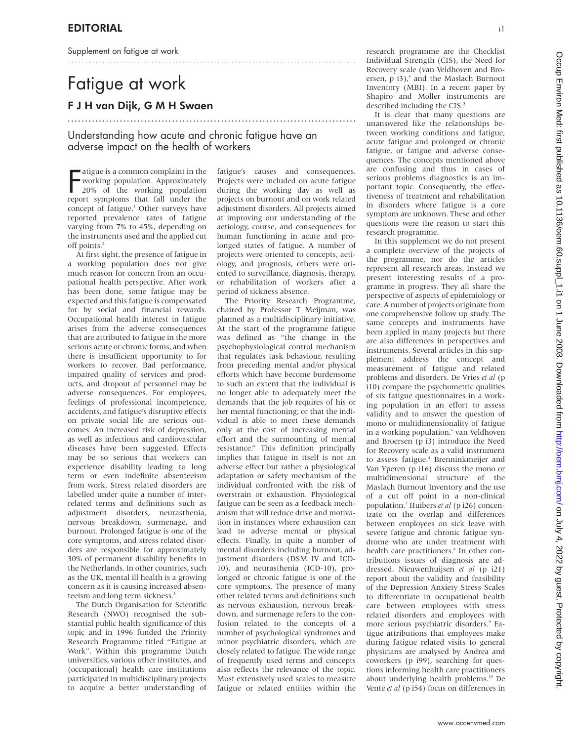Supplement on fatigue at work

## Fatigue at work

## F J H van Dijk, G M H Swaen

...................................................................................

Understanding how acute and chronic fatigue have an adverse impact on the health of workers

...................................................................................

atigue is a common complaint in the<br>working population. Approximately<br>20% of the working population working population. Approximately 20% of the working population report symptoms that fall under the concept of fatigue.<sup>1</sup> Other surveys have reported prevalence rates of fatigue varying from 7% to 45%, depending on the instruments used and the applied cut off points<sup>2</sup>

At first sight, the presence of fatigue in a working population does not give much reason for concern from an occupational health perspective. After work has been done, some fatigue may be expected and this fatigue is compensated for by social and financial rewards. Occupational health interest in fatigue arises from the adverse consequences that are attributed to fatigue in the more serious acute or chronic forms, and when there is insufficient opportunity to for workers to recover. Bad performance, impaired quality of services and products, and dropout of personnel may be adverse consequences. For employees, feelings of professional incompetence, accidents, and fatigue's disruptive effects on private social life are serious outcomes. An increased risk of depression, as well as infectious and cardiovascular diseases have been suggested. Effects may be so serious that workers can experience disability leading to long term or even indefinite absenteeism from work. Stress related disorders are labelled under quite a number of interrelated terms and definitions such as adjustment disorders, neurasthenia, nervous breakdown, surmenage, and burnout. Prolonged fatigue is one of the core symptoms, and stress related disorders are responsible for approximately 30% of permanent disability benefits in the Netherlands. In other countries, such as the UK, mental ill health is a growing concern as it is causing increased absenteeism and long term sickness.<sup>3</sup>

The Dutch Organisation for Scientific Research (NWO) recognised the substantial public health significance of this topic and in 1996 funded the Priority Research Programme titled "Fatigue at Work". Within this programme Dutch universities, various other institutes, and (occupational) health care institutions participated in multidisciplinary projects to acquire a better understanding of

fatigue's causes and consequences. Projects were included on acute fatigue during the working day as well as projects on burnout and on work related adjustment disorders. All projects aimed at improving our understanding of the aetiology, course, and consequences for human functioning in acute and prolonged states of fatigue. A number of projects were oriented to concepts, aetiology, and prognosis, others were oriented to surveillance, diagnosis, therapy, or rehabilitation of workers after a period of sickness absence.

The Priority Research Programme, chaired by Professor T Meijman, was planned as a multidisciplinary initiative. At the start of the programme fatigue was defined as "the change in the psychophysiological control mechanism that regulates task behaviour, resulting from preceding mental and/or physical efforts which have become burdensome to such an extent that the individual is no longer able to adequately meet the demands that the job requires of his or her mental functioning; or that the individual is able to meet these demands only at the cost of increasing mental effort and the surmounting of mental resistance." This definition principally implies that fatigue in itself is not an adverse effect but rather a physiological adaptation or safety mechanism of the individual confronted with the risk of overstrain or exhaustion. Physiological fatigue can be seen as a feedback mechanism that will reduce drive and motivation in instances where exhaustion can lead to adverse mental or physical effects. Finally, in quite a number of mental disorders including burnout, adjustment disorders (DSM IV and ICD-10), and neurasthenia (ICD-10), prolonged or chronic fatigue is one of the core symptoms. The presence of many other related terms and definitions such as nervous exhaustion, nervous breakdown, and surmenage refers to the confusion related to the concepts of a number of psychological syndromes and minor psychiatric disorders, which are closely related to fatigue. The wide range of frequently used terms and concepts also reflects the relevance of the topic. Most extensively used scales to measure fatigue or related entities within the

research programme are the Checklist Individual Strength (CIS), the Need for Recovery scale (van Veldhoven and Broersen,  $p$  i3), $4$  and the Maslach Burnout Inventory (MBI). In a recent paper by Shapiro and Moller instruments are described including the CIS.<sup>5</sup>

It is clear that many questions are unanswered like the relationships between working conditions and fatigue, acute fatigue and prolonged or chronic fatigue, or fatigue and adverse consequences. The concepts mentioned above are confusing and thus in cases of serious problems diagnostics is an important topic. Consequently, the effectiveness of treatment and rehabilitation in disorders where fatigue is a core symptom are unknown. These and other questions were the reason to start this research programme.

In this supplement we do not present a complete overview of the projects of the programme, nor do the articles represent all research areas. Instead we present interesting results of a programme in progress. They all share the perspective of aspects of epidemiology or care. A number of projects originate from one comprehensive follow up study. The same concepts and instruments have been applied in many projects but there are also differences in perspectives and instruments. Several articles in this supplement address the concept and measurement of fatigue and related problems and disorders. De Vries *et al* (p i10) compare the psychometric qualities of six fatigue questionnaires in a working population in an effort to assess validity and to answer the question of mono or multidimensionality of fatigue in a working population.<sup>6</sup> van Veldhoven and Broersen (p i3) introduce the Need for Recovery scale as a valid instrument to assess fatigue.<sup>4</sup> Brenninkmeijer and Van Yperen (p i16) discuss the mono or multidimensional structure of the Maslach Burnout Inventory and the use of a cut off point in a non-clinical population.7 Huibers *et al* (p i26) concentrate on the overlap and differences between employees on sick leave with severe fatigue and chronic fatigue syndrome who are under treatment with health care practitioners.<sup>8</sup> In other contributions issues of diagnosis are addressed. Nieuwenhuijsen *et al* (p i21) report about the validity and feasibility of the Depression Anxiety Stress Scales to differentiate in occupational health care between employees with stress related disorders and employees with more serious psychiatric disorders.<sup>9</sup> Fatigue attributions that employees make during fatigue related visits to general physicians are analysed by Andrea and coworkers (p i99), searching for questions informing health care practitioners about underlying health problems.10 De Vente *et al* (p i54) focus on differences in